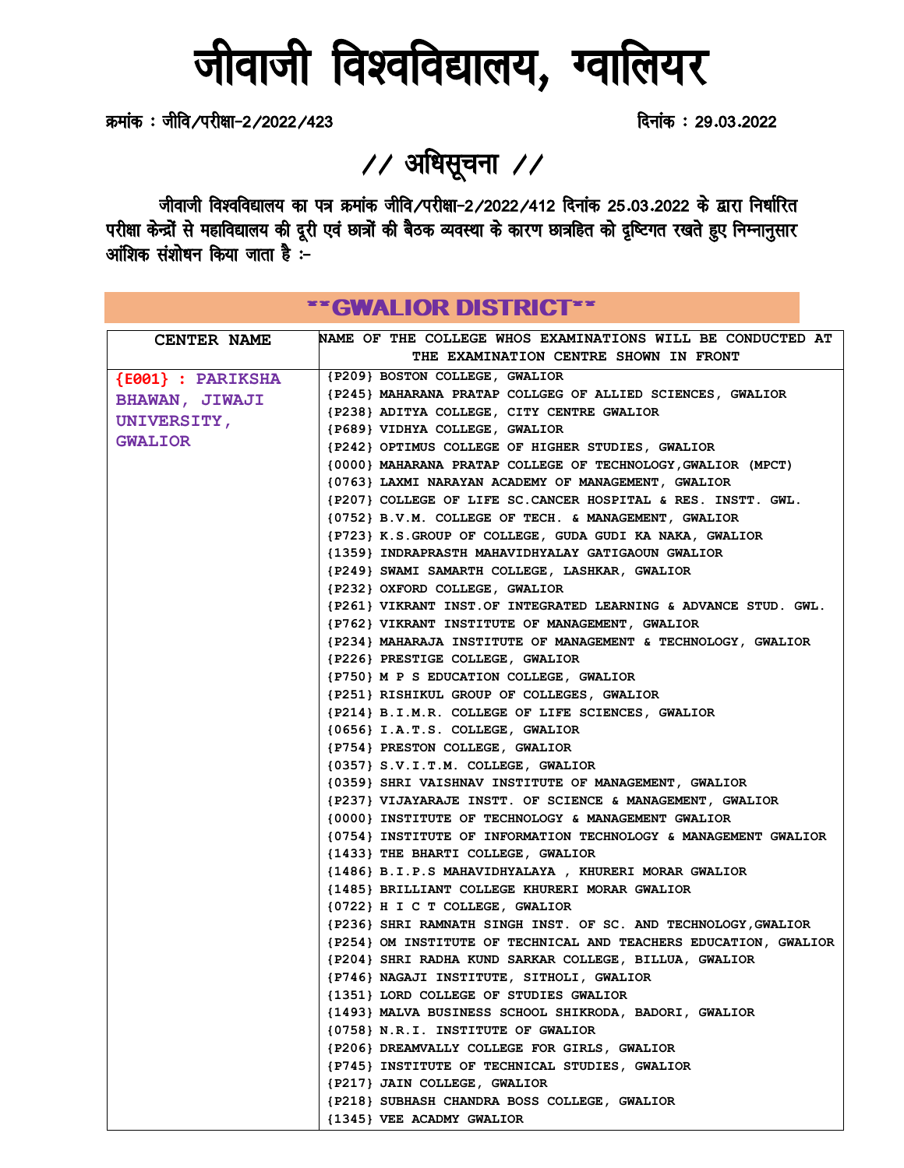# जीवाजी विश्वविद्यालय, ग्वालियर

क्रमांक : जीवि/परीक्षा-2/2022/423 *क्रमांक : 29.03.2022* 

// अधिसूचना //

जीवाजी विश्वविद्यालय का पत्र क्रमांक जीवि/परीक्षा-2/2022/412 दिनांक 25.03.2022 के द्वारा निर्धारित परीक्षा केन्द्रों से महाविद्यालय की दूरी एवं छात्रों की बैठक व्यवस्था के कारण छात्रहित को दृष्टिगत रखते हुए निम्नानुसार आंशिक संशोधन किया जाता है :-

|                       | **GWALIOR DISTRICT**                                                                             |
|-----------------------|--------------------------------------------------------------------------------------------------|
| <b>CENTER NAME</b>    | <b>NAME OF THE COLLEGE WHOS EXAMINATIONS WILL BE CONDUCTED AT</b>                                |
|                       | THE EXAMINATION CENTRE SHOWN IN FRONT                                                            |
| ${E001}$ : PARIKSHA   | {P209} BOSTON COLLEGE, GWALIOR                                                                   |
|                       | {P245} MAHARANA PRATAP COLLGEG OF ALLIED SCIENCES, GWALIOR                                       |
| <b>BHAWAN, JIWAJI</b> | {P238} ADITYA COLLEGE, CITY CENTRE GWALIOR                                                       |
| <b>UNIVERSITY,</b>    | {P689} VIDHYA COLLEGE, GWALIOR                                                                   |
| <b>GWALIOR</b>        | {P242} OPTIMUS COLLEGE OF HIGHER STUDIES, GWALIOR                                                |
|                       | (0000) MAHARANA PRATAP COLLEGE OF TECHNOLOGY, GWALIOR (MPCT)                                     |
|                       | (0763) LAXMI NARAYAN ACADEMY OF MANAGEMENT, GWALIOR                                              |
|                       | {P207} COLLEGE OF LIFE SC. CANCER HOSPITAL & RES. INSTT. GWL.                                    |
|                       | {0752} B.V.M. COLLEGE OF TECH. & MANAGEMENT, GWALIOR                                             |
|                       | {P723} K.S.GROUP OF COLLEGE, GUDA GUDI KA NAKA, GWALIOR                                          |
|                       | {1359} INDRAPRASTH MAHAVIDHYALAY GATIGAOUN GWALIOR                                               |
|                       | {P249} SWAMI SAMARTH COLLEGE, LASHKAR, GWALIOR                                                   |
|                       | {P232} OXFORD COLLEGE, GWALIOR                                                                   |
|                       | {P261} VIKRANT INST.OF INTEGRATED LEARNING & ADVANCE STUD. GWL.                                  |
|                       | {P762} VIKRANT INSTITUTE OF MANAGEMENT, GWALIOR                                                  |
|                       | {P234} MAHARAJA INSTITUTE OF MANAGEMENT & TECHNOLOGY, GWALIOR                                    |
|                       | {P226} PRESTIGE COLLEGE, GWALIOR                                                                 |
|                       | {P750} M P S EDUCATION COLLEGE, GWALIOR                                                          |
|                       | {P251} RISHIKUL GROUP OF COLLEGES, GWALIOR                                                       |
|                       | {P214} B.I.M.R. COLLEGE OF LIFE SCIENCES, GWALIOR                                                |
|                       | ${0656}$ I.A.T.S. COLLEGE, GWALIOR                                                               |
|                       | {P754} PRESTON COLLEGE, GWALIOR                                                                  |
|                       | ${0357}$ S.V.I.T.M. COLLEGE, GWALIOR                                                             |
|                       | (0359) SHRI VAISHNAV INSTITUTE OF MANAGEMENT, GWALIOR                                            |
|                       | {P237} VIJAYARAJE INSTT. OF SCIENCE & MANAGEMENT, GWALIOR                                        |
|                       | {0000} INSTITUTE OF TECHNOLOGY & MANAGEMENT GWALIOR                                              |
|                       | {0754} INSTITUTE OF INFORMATION TECHNOLOGY & MANAGEMENT GWALIOR                                  |
|                       | {1433} THE BHARTI COLLEGE, GWALIOR                                                               |
|                       | {1486} B.I.P.S MAHAVIDHYALAYA, KHURERI MORAR GWALIOR                                             |
|                       | {1485} BRILLIANT COLLEGE KHURERI MORAR GWALIOR                                                   |
|                       | {0722} H I C T COLLEGE, GWALIOR                                                                  |
|                       | {P236} SHRI RAMNATH SINGH INST. OF SC. AND TECHNOLOGY, GWALIOR                                   |
|                       | {P254} OM INSTITUTE OF TECHNICAL AND TEACHERS EDUCATION, GWALIOR                                 |
|                       | {P204} SHRI RADHA KUND SARKAR COLLEGE, BILLUA, GWALIOR                                           |
|                       | {P746} NAGAJI INSTITUTE, SITHOLI, GWALIOR                                                        |
|                       | {1351} LORD COLLEGE OF STUDIES GWALIOR<br>{1493} MALVA BUSINESS SCHOOL SHIKRODA, BADORI, GWALIOR |
|                       | {0758} N.R.I. INSTITUTE OF GWALIOR                                                               |
|                       | {P206} DREAMVALLY COLLEGE FOR GIRLS, GWALIOR                                                     |
|                       | {P745} INSTITUTE OF TECHNICAL STUDIES, GWALIOR                                                   |
|                       | {P217} JAIN COLLEGE, GWALIOR                                                                     |
|                       | {P218} SUBHASH CHANDRA BOSS COLLEGE, GWALIOR                                                     |
|                       | {1345} VEE ACADMY GWALIOR                                                                        |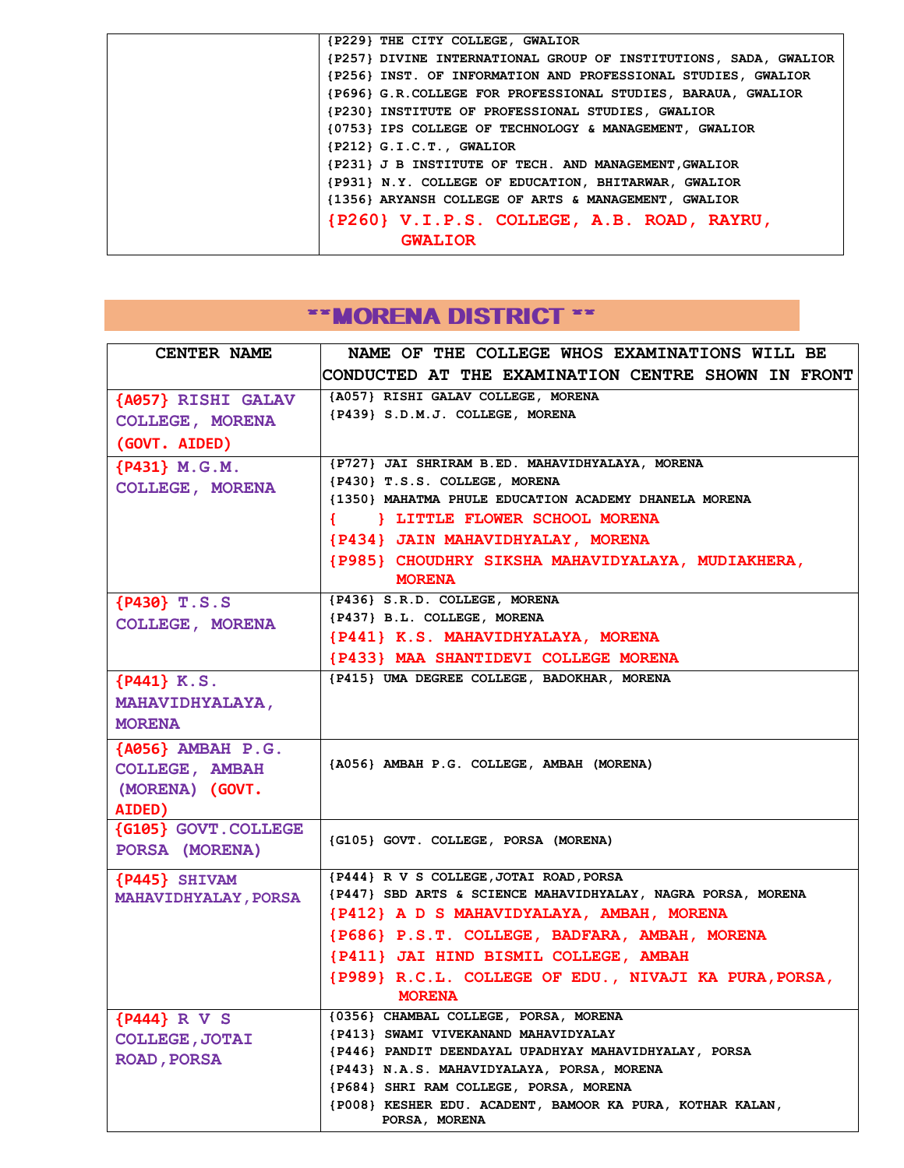| {P229} THE CITY COLLEGE, GWALIOR                                 |
|------------------------------------------------------------------|
| {P257} DIVINE INTERNATIONAL GROUP OF INSTITUTIONS, SADA, GWALIOR |
| {P256} INST. OF INFORMATION AND PROFESSIONAL STUDIES, GWALIOR    |
| {P696} G.R. COLLEGE FOR PROFESSIONAL STUDIES, BARAUA, GWALIOR    |
| {P230} INSTITUTE OF PROFESSIONAL STUDIES, GWALIOR                |
| {0753} IPS COLLEGE OF TECHNOLOGY & MANAGEMENT, GWALIOR           |
| ${P212}$ G.I.C.T., GWALIOR                                       |
| {P231} J B INSTITUTE OF TECH. AND MANAGEMENT, GWALIOR            |
| {P931} N.Y. COLLEGE OF EDUCATION, BHITARWAR, GWALIOR             |
| {1356} ARYANSH COLLEGE OF ARTS & MANAGEMENT, GWALIOR             |
| {P260} V.I.P.S. COLLEGE, A.B. ROAD, RAYRU,                       |
| <b>GWALIOR</b>                                                   |

## **\*\*MORENA DISTRICT \*\***

| <b>CENTER NAME</b>                            | NAME OF THE COLLEGE WHOS EXAMINATIONS WILL BE                                                       |
|-----------------------------------------------|-----------------------------------------------------------------------------------------------------|
|                                               | CONDUCTED AT THE EXAMINATION CENTRE SHOWN IN FRONT                                                  |
| {A057} RISHI GALAV                            | {A057} RISHI GALAV COLLEGE, MORENA                                                                  |
| <b>COLLEGE, MORENA</b>                        | {P439} S.D.M.J. COLLEGE, MORENA                                                                     |
| (GOVT. AIDED)                                 |                                                                                                     |
| {P431} M.G.M.                                 | {P727} JAI SHRIRAM B.ED. MAHAVIDHYALAYA, MORENA                                                     |
| <b>COLLEGE, MORENA</b>                        | {P430} T.S.S. COLLEGE, MORENA                                                                       |
|                                               | {1350} MAHATMA PHULE EDUCATION ACADEMY DHANELA MORENA                                               |
|                                               | { } LITTLE FLOWER SCHOOL MORENA                                                                     |
|                                               | {P434} JAIN MAHAVIDHYALAY, MORENA                                                                   |
|                                               | {P985} CHOUDHRY SIKSHA MAHAVIDYALAYA, MUDIAKHERA,<br><b>MORENA</b>                                  |
| ${P430}$ T.S.S                                | {P436} S.R.D. COLLEGE, MORENA                                                                       |
| <b>COLLEGE, MORENA</b>                        | {P437} B.L. COLLEGE, MORENA                                                                         |
|                                               | {P441} K.S. MAHAVIDHYALAYA, MORENA                                                                  |
|                                               | {P433} MAA SHANTIDEVI COLLEGE MORENA                                                                |
| ${P441}$ K.S.                                 | {P415} UMA DEGREE COLLEGE, BADOKHAR, MORENA                                                         |
| <b>MAHAVIDHYALAYA,</b>                        |                                                                                                     |
| <b>MORENA</b>                                 |                                                                                                     |
| {A056} AMBAH P.G.                             |                                                                                                     |
| <b>COLLEGE, AMBAH</b>                         | {A056} AMBAH P.G. COLLEGE, AMBAH (MORENA)                                                           |
| (MORENA) (GOVT.                               |                                                                                                     |
| AIDED)                                        |                                                                                                     |
| <b>{G105} GOVT. COLLEGE</b><br>PORSA (MORENA) | (G105) GOVT. COLLEGE, PORSA (MORENA)                                                                |
|                                               |                                                                                                     |
| ${P445}$ SHIVAM                               | {P444} R V S COLLEGE, JOTAI ROAD, PORSA                                                             |
| <b>MAHAVIDHYALAY, PORSA</b>                   | {P447} SBD ARTS & SCIENCE MAHAVIDHYALAY, NAGRA PORSA, MORENA                                        |
|                                               | {P412} A D S MAHAVIDYALAYA, AMBAH, MORENA                                                           |
|                                               | {P686} P.S.T. COLLEGE, BADFARA, AMBAH, MORENA                                                       |
|                                               | {P411} JAI HIND BISMIL COLLEGE, AMBAH                                                               |
|                                               | {P989} R.C.L. COLLEGE OF EDU., NIVAJI KA PURA, PORSA,                                               |
|                                               | <b>MORENA</b>                                                                                       |
| {P444} R V S                                  | {0356} CHAMBAL COLLEGE, PORSA, MORENA                                                               |
| <b>COLLEGE, JOTAI</b>                         | {P413} SWAMI VIVEKANAND MAHAVIDYALAY                                                                |
| <b>ROAD, PORSA</b>                            | {P446} PANDIT DEENDAYAL UPADHYAY MAHAVIDHYALAY, PORSA<br>{P443} N.A.S. MAHAVIDYALAYA, PORSA, MORENA |
|                                               | {P684} SHRI RAM COLLEGE, PORSA, MORENA                                                              |
|                                               | {P008} KESHER EDU. ACADENT, BAMOOR KA PURA, KOTHAR KALAN,                                           |
|                                               | PORSA, MORENA                                                                                       |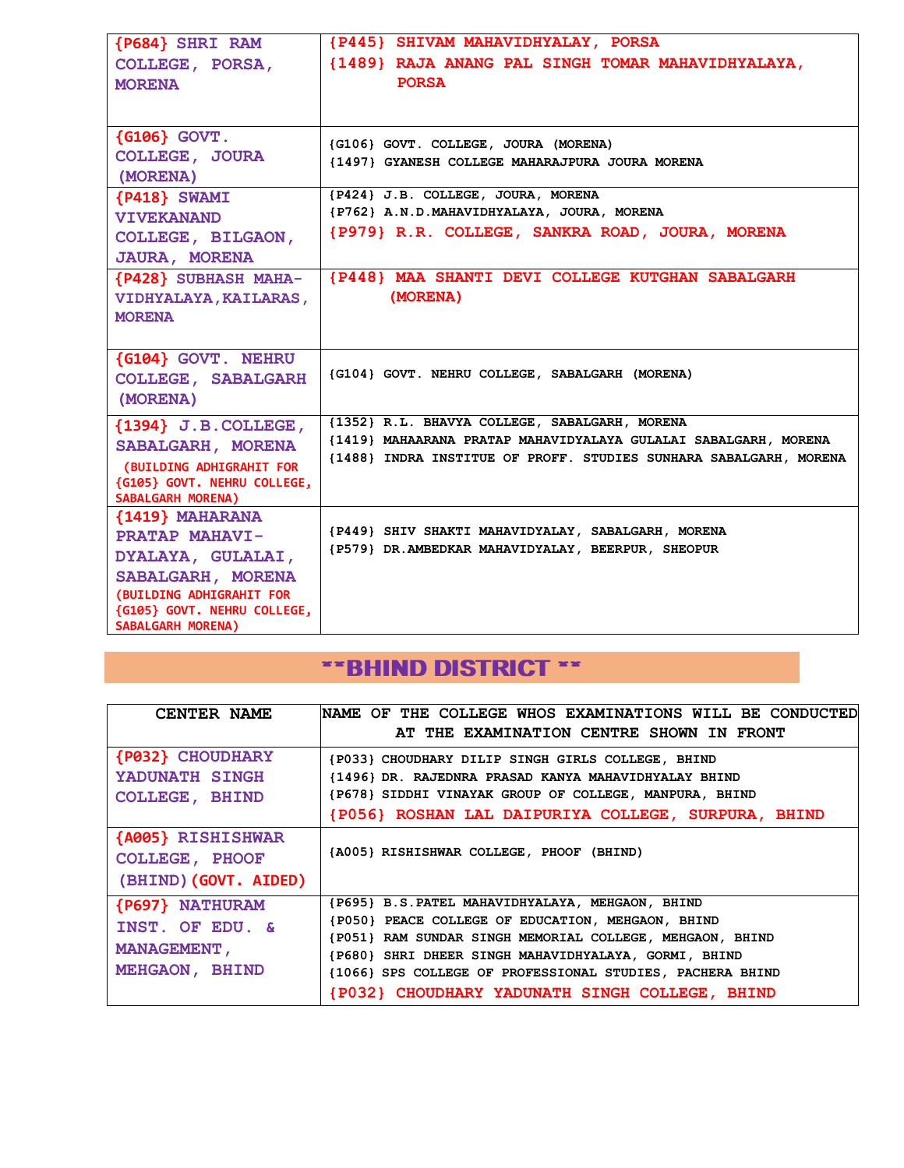| {P684} SHRI RAM                             | {P445} SHIVAM MAHAVIDHYALAY, PORSA                                |
|---------------------------------------------|-------------------------------------------------------------------|
| COLLEGE, PORSA,                             | {1489} RAJA ANANG PAL SINGH TOMAR MAHAVIDHYALAYA,                 |
| <b>MORENA</b>                               | <b>PORSA</b>                                                      |
|                                             |                                                                   |
|                                             |                                                                   |
| $\{G106\}$ GOVT.                            | {G106} GOVT. COLLEGE, JOURA (MORENA)                              |
| <b>COLLEGE, JOURA</b>                       | {1497} GYANESH COLLEGE MAHARAJPURA JOURA MORENA                   |
| (MORENA)                                    | {P424} J.B. COLLEGE, JOURA, MORENA                                |
| ${P418}$ SWAMI                              | {P762} A.N.D.MAHAVIDHYALAYA, JOURA, MORENA                        |
| <b>VIVEKANAND</b>                           | {P979} R.R. COLLEGE, SANKRA ROAD, JOURA, MORENA                   |
| COLLEGE, BILGAON,                           |                                                                   |
| <b>JAURA, MORENA</b>                        |                                                                   |
| <b>{P428} SUBHASH MAHA-</b>                 | {P448} MAA SHANTI DEVI COLLEGE KUTGHAN SABALGARH                  |
| VIDHYALAYA, KAILARAS,                       | (MORENA)                                                          |
| <b>MORENA</b>                               |                                                                   |
|                                             |                                                                   |
| {G104} GOVT. NEHRU                          | {G104} GOVT. NEHRU COLLEGE, SABALGARH (MORENA)                    |
| <b>COLLEGE, SABALGARH</b>                   |                                                                   |
| (MORENA)                                    |                                                                   |
| ${1394}$ J.B. COLLEGE,                      | {1352} R.L. BHAVYA COLLEGE, SABALGARH, MORENA                     |
| SABALGARH, MORENA                           | {1419} MAHAARANA PRATAP MAHAVIDYALAYA GULALAI SABALGARH, MORENA   |
| (BUILDING ADHIGRAHIT FOR                    | {1488} INDRA INSTITUE OF PROFF. STUDIES SUNHARA SABALGARH, MORENA |
| {G105} GOVT. NEHRU COLLEGE,                 |                                                                   |
| <b>SABALGARH MORENA)</b><br>{1419} MAHARANA |                                                                   |
| <b>PRATAP MAHAVI-</b>                       | {P449} SHIV SHAKTI MAHAVIDYALAY, SABALGARH, MORENA                |
| DYALAYA, GULALAI,                           | {P579} DR.AMBEDKAR MAHAVIDYALAY, BEERPUR, SHEOPUR                 |
| SABALGARH, MORENA                           |                                                                   |
| (BUILDING ADHIGRAHIT FOR                    |                                                                   |
| {G105} GOVT. NEHRU COLLEGE,                 |                                                                   |
| <b>SABALGARH MORENA)</b>                    |                                                                   |

### \*\*BHIND DISTRICT \*\*

| <b>CENTER NAME</b>      | NAME OF THE COLLEGE WHOS EXAMINATIONS WILL BE CONDUCTED   |
|-------------------------|-----------------------------------------------------------|
|                         | AT THE EXAMINATION CENTRE SHOWN IN FRONT                  |
| <b>{P032} CHOUDHARY</b> | {P033} CHOUDHARY DILIP SINGH GIRLS COLLEGE, BHIND         |
| YADUNATH SINGH          | {1496} DR. RAJEDNRA PRASAD KANYA MAHAVIDHYALAY BHIND      |
| <b>COLLEGE, BHIND</b>   | {P678} SIDDHI VINAYAK GROUP OF COLLEGE, MANPURA, BHIND    |
|                         | {P056} ROSHAN LAL DAIPURIYA COLLEGE, SURPURA, BHIND       |
| {A005} RISHISHWAR       |                                                           |
| COLLEGE, PHOOF          | {A005} RISHISHWAR COLLEGE, PHOOF (BHIND)                  |
| (BHIND) (GOVT. AIDED)   |                                                           |
| {P697} NATHURAM         | {P695} B.S. PATEL MAHAVIDHYALAYA, MEHGAON, BHIND          |
| INST. OF EDU. &         | {P050} PEACE COLLEGE OF EDUCATION, MEHGAON, BHIND         |
|                         | {P051} RAM SUNDAR SINGH MEMORIAL COLLEGE, MEHGAON, BHIND  |
| <b>MANAGEMENT,</b>      | {P680} SHRI DHEER SINGH MAHAVIDHYALAYA, GORMI, BHIND      |
| MEHGAON, BHIND          | {1066} SPS COLLEGE OF PROFESSIONAL STUDIES, PACHERA BHIND |
|                         | {P032} CHOUDHARY YADUNATH SINGH COLLEGE, BHIND            |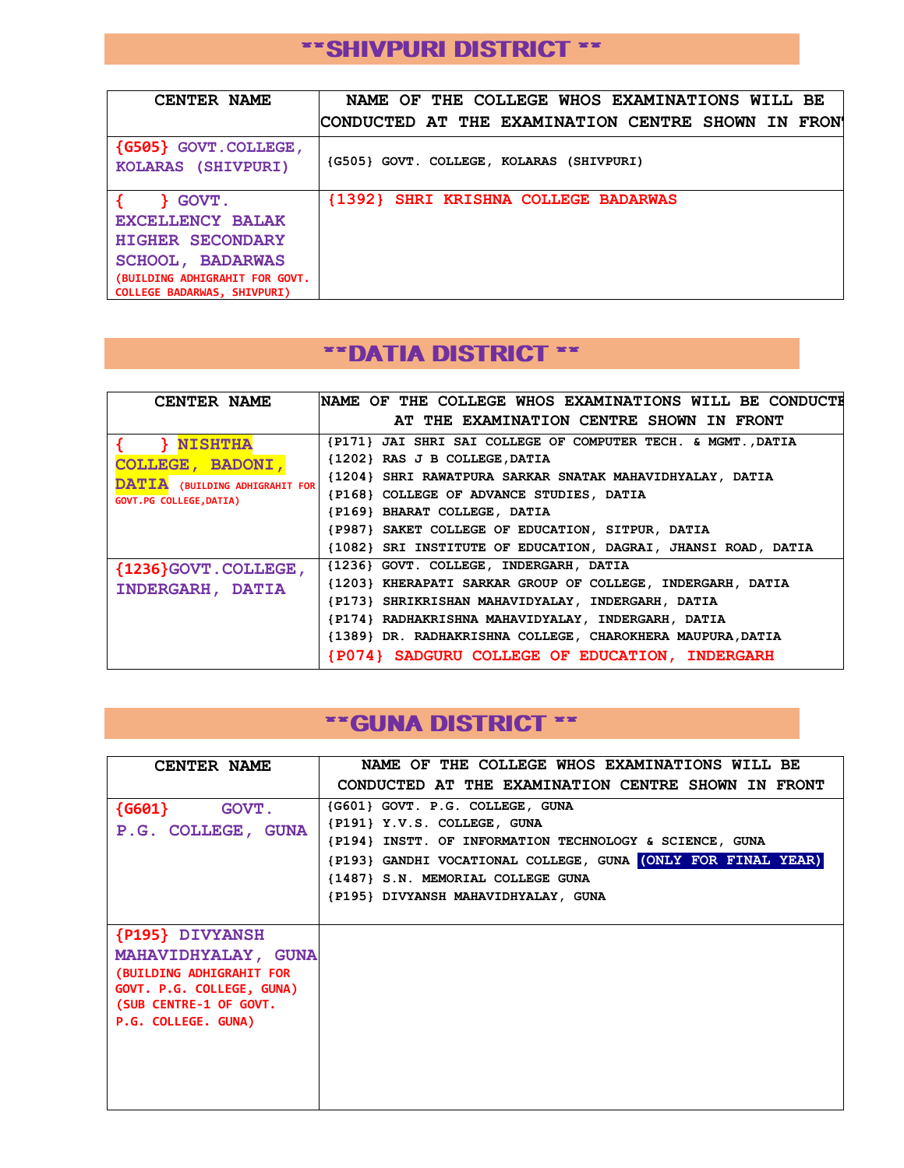#### \*\*SHIVPURI DISTRICT \*\*

| CENTER NAME                                                                                                                                                    | NAME OF THE COLLEGE WHOS EXAMINATIONS WILL BE      |
|----------------------------------------------------------------------------------------------------------------------------------------------------------------|----------------------------------------------------|
|                                                                                                                                                                | CONDUCTED AT THE EXAMINATION CENTRE SHOWN IN FRON' |
| {G505} GOVT. COLLEGE,<br>KOLARAS (SHIVPURI)                                                                                                                    | (G505) GOVT. COLLEGE, KOLARAS (SHIVPURI)           |
| <b>GOVT.</b><br><b>EXCELLENCY BALAK</b><br><b>HIGHER SECONDARY</b><br><b>SCHOOL, BADARWAS</b><br>(BUILDING ADHIGRAHIT FOR GOVT.<br>COLLEGE BADARWAS, SHIVPURI) | {1392} SHRI KRISHNA COLLEGE BADARWAS               |

#### \*\*DATIA DISTRICT \*\*

| <b>CENTER NAME</b>             | NAME OF THE COLLEGE WHOS EXAMINATIONS WILL BE CONDUCTE        |
|--------------------------------|---------------------------------------------------------------|
|                                | AT THE EXAMINATION CENTRE SHOWN IN FRONT                      |
| <b>NISHTHA</b>                 | {P171} JAI SHRI SAI COLLEGE OF COMPUTER TECH. & MGMT., DATIA  |
| COLLEGE, BADONI,               | {1202} RAS J B COLLEGE, DATIA                                 |
| DATIA (BUILDING ADHIGRAHIT FOR | {1204} SHRI RAWATPURA SARKAR SNATAK MAHAVIDHYALAY, DATIA      |
| <b>GOVT.PG COLLEGE, DATIA)</b> | {P168} COLLEGE OF ADVANCE STUDIES, DATIA                      |
|                                | {P169} BHARAT COLLEGE, DATIA                                  |
|                                | {P987} SAKET COLLEGE OF EDUCATION, SITPUR, DATIA              |
|                                | {1082} SRI INSTITUTE OF EDUCATION, DAGRAI, JHANSI ROAD, DATIA |
| {1236} GOVT. COLLEGE,          | {1236} GOVT. COLLEGE, INDERGARH, DATIA                        |
| INDERGARH, DATIA               | {1203} KHERAPATI SARKAR GROUP OF COLLEGE, INDERGARH, DATIA    |
|                                | {P173} SHRIKRISHAN MAHAVIDYALAY, INDERGARH, DATIA             |
|                                | {P174} RADHAKRISHNA MAHAVIDYALAY, INDERGARH, DATIA            |
|                                | {1389} DR. RADHAKRISHNA COLLEGE, CHAROKHERA MAUPURA, DATIA    |
|                                | {P074} SADGURU COLLEGE OF EDUCATION, INDERGARH                |

#### \*\*GUNA DISTRICT \*\*

| <b>CENTER NAME</b>         | NAME OF THE COLLEGE WHOS EXAMINATIONS WILL BE                                          |
|----------------------------|----------------------------------------------------------------------------------------|
|                            | CONDUCTED AT THE EXAMINATION CENTRE SHOWN IN FRONT                                     |
| ${6601}$<br><b>GOVT.</b>   | (G601) GOVT. P.G. COLLEGE, GUNA                                                        |
| P.G. COLLEGE, GUNA         | {P191} Y.V.S. COLLEGE, GUNA<br>{P194} INSTT. OF INFORMATION TECHNOLOGY & SCIENCE, GUNA |
|                            | (P193) GANDHI VOCATIONAL COLLEGE, GUNA (ONLY FOR FINAL YEAR)                           |
|                            | {1487} S.N. MEMORIAL COLLEGE GUNA                                                      |
|                            | {P195} DIVYANSH MAHAVIDHYALAY, GUNA                                                    |
|                            |                                                                                        |
| {P195} DIVYANSH            |                                                                                        |
| MAHAVIDHYALAY, GUNA        |                                                                                        |
| (BUILDING ADHIGRAHIT FOR   |                                                                                        |
| GOVT. P.G. COLLEGE, GUNA)  |                                                                                        |
| (SUB CENTRE-1 OF GOVT.     |                                                                                        |
| <b>P.G. COLLEGE. GUNA)</b> |                                                                                        |
|                            |                                                                                        |
|                            |                                                                                        |
|                            |                                                                                        |
|                            |                                                                                        |
|                            |                                                                                        |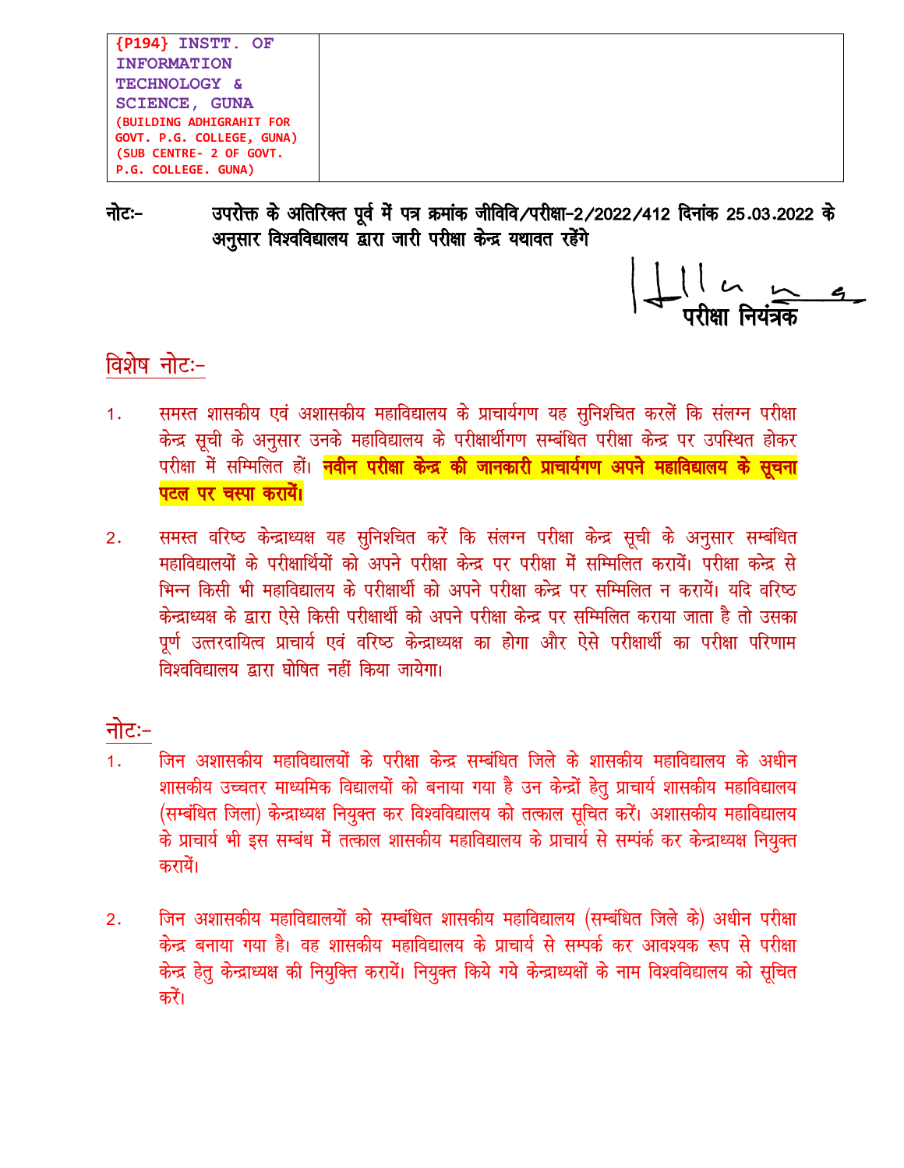```
{P194} INSTT. OF
INFORMATION
TECHNOLOGY &
SCIENCE, GUNA
(BUILDING ADHIGRAHIT FOR
GOVT. P.G. COLLEGE, GUNA)
(SUB CENTRE- 2 OF GOVT.
P.G. COLLEGE. GUNA)
```
नोटः− उपरोक्त के अतिरिक्त पूर्व में पत्र क्रमांक जीविवि/परीक्षा-2/2022/412 दिनांक 25.03.2022 के अनुसार विश्वविद्यालय द्वारा जारी परीक्षा केन्द्र यथावत रहेंगे

#### विशेष नोटः-

- समस्त शासकीय एवं अशासकीय महाविद्यालय के प्राचार्यगण यह सुनिश्चित करलें कि संलग्न परीक्षा  $1.$ केन्द्र सूची के अनुसार उनके महाविद्यालय के परीक्षार्थीगण सम्बंधित परीक्षा केन्द्र पर उपस्थित होकर परीक्षा में सम्मिलित हों। <mark>नवीन परीक्षा केन्द्र की जानकारी प्राचार्यगण अपने महाविद्यालय के सूचना</mark> पटल पर चस्पा करायें।
- समस्त वरिष्ठ केन्द्राध्यक्ष यह सुनिश्चित करें कि संलग्न परीक्षा केन्द्र सूची के अनुसार सम्बंधित  $2.$ महाविद्यालयों के परीक्षार्थियों को अपने परीक्षा केन्द्र पर परीक्षा में सम्मिलित करायें। परीक्षा कन्द्र से भिन्न किसी भी महाविद्यालय के परीक्षार्थी को अपने परीक्षा कन्द्र पर सम्मिलित न करायें। यदि वरिष्ठ केन्द्राध्यक्ष के द्वारा ऐसे किसी परीक्षार्थी को अपने परीक्षा केन्द्र पर सम्मिलित कराया जाता है तो उसका पूर्ण उत्तरदायित्व प्राचार्य एवं वरिष्ठ केन्द्राध्यक्ष का होगा और ऐसे परीक्षार्थी का परीक्षा परिणाम विश्वविद्यालय द्वारा घोषित नहीं किया जायेगा।

#### नोटः−

- जिन अशासकीय महाविद्यालयों के परीक्षा केन्द्र सम्बंधित जिले के शासकीय महाविद्यालय के अधीन  $1.$ शासकीय उच्चतर माध्यमिक विद्यालयों को बनाया गया है उन केन्द्रों हेतू प्राचार्य शासकीय महाविद्यालय (सम्बंधित जिला) केन्द्राध्यक्ष नियुक्त कर विश्वविद्यालय को तत्काल सूचित करें। अशासकीय महाविद्यालय के प्राचार्य भी इस सम्बंध में तत्काल शासकीय महाविद्यालय के प्राचार्य से सम्पंर्क कर केन्द्राध्यक्ष नियुक्त करायें।
- जिन अशासकीय महाविद्यालयों को सम्बंधित शासकीय महाविद्यालय (सम्बंधित जिले के) अधीन परीक्षा  $2.$ केन्द्र बनाया गया है। वह शासकीय महाविद्यालय के प्राचार्य से सम्पर्क कर आवश्यक रूप से परीक्षा केन्द्र हेतु केन्द्राध्यक्ष की नियुक्ति करायें। नियुक्त किये गये केन्द्राध्यक्षों के नाम विश्वविद्यालय को सूचित करें।